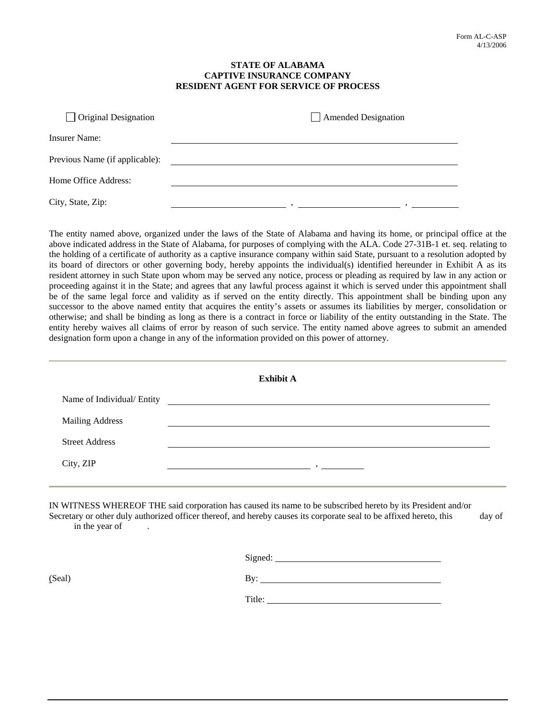## **STATE OF ALABAMA CAPTIVE INSURANCE COMPANY RESIDENT AGENT FOR SERVICE OF PROCESS**

| $\Box$ Original Designation    | $\Box$ Amended Designation |  |
|--------------------------------|----------------------------|--|
| <b>Insurer Name:</b>           |                            |  |
| Previous Name (if applicable): |                            |  |
| Home Office Address:           |                            |  |
| City, State, Zip:              |                            |  |

The entity named above, organized under the laws of the State of Alabama and having its home, or principal office at the above indicated address in the State of Alabama, for purposes of complying with the ALA. Code 27-31B-1 et. seq. relating to the holding of a certificate of authority as a captive insurance company within said State, pursuant to a resolution adopted by its board of directors or other governing body, hereby appoints the individual(s) identified hereunder in Exhibit A as its resident attorney in such State upon whom may be served any notice, process or pleading as required by law in any action or proceeding against it in the State; and agrees that any lawful process against it which is served under this appointment shall be of the same legal force and validity as if served on the entity directly. This appointment shall be binding upon any successor to the above named entity that acquires the entity's assets or assumes its liabilities by merger, consolidation or otherwise; and shall be binding as long as there is a contract in force or liability of the entity outstanding in the State. The entity hereby waives all claims of error by reason of such service. The entity named above agrees to submit an amended designation form upon a change in any of the information provided on this power of attorney.

| <b>Exhibit A</b>           |                                                                                                                                                                                                                                    |        |  |
|----------------------------|------------------------------------------------------------------------------------------------------------------------------------------------------------------------------------------------------------------------------------|--------|--|
| Name of Individual/ Entity |                                                                                                                                                                                                                                    |        |  |
| <b>Mailing Address</b>     |                                                                                                                                                                                                                                    |        |  |
| <b>Street Address</b>      |                                                                                                                                                                                                                                    |        |  |
| City, ZIP                  | <u>в представите на пример, на пример, на пример, на пример, на пример, на пример, на пример, на пример, на приме</u>                                                                                                              |        |  |
| in the year of             | IN WITNESS WHEREOF THE said corporation has caused its name to be subscribed hereto by its President and/or<br>Secretary or other duly authorized officer thereof, and hereby causes its corporate seal to be affixed hereto, this | day of |  |
|                            |                                                                                                                                                                                                                                    |        |  |
| (Seal)                     | By: $\_\_$                                                                                                                                                                                                                         |        |  |

Title: